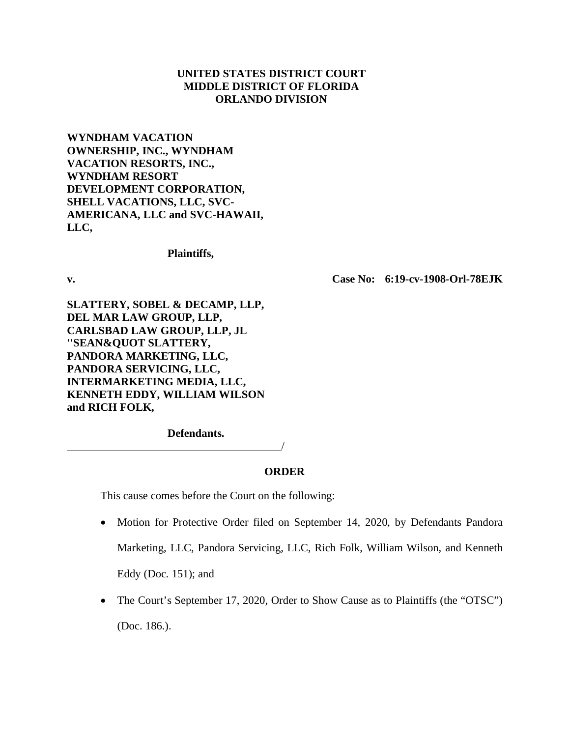# **UNITED STATES DISTRICT COURT MIDDLE DISTRICT OF FLORIDA ORLANDO DIVISION**

**WYNDHAM VACATION OWNERSHIP, INC., WYNDHAM VACATION RESORTS, INC., WYNDHAM RESORT DEVELOPMENT CORPORATION, SHELL VACATIONS, LLC, SVC-AMERICANA, LLC and SVC-HAWAII, LLC,** 

**Plaintiffs,**

**v. Case No: 6:19-cv-1908-Orl-78EJK**

**SLATTERY, SOBEL & DECAMP, LLP, DEL MAR LAW GROUP, LLP, CARLSBAD LAW GROUP, LLP, JL**  "SEAN&QUOT SLATTERY, **PANDORA MARKETING, LLC, PANDORA SERVICING, LLC, INTERMARKETING MEDIA, LLC, KENNETH EDDY, WILLIAM WILSON and RICH FOLK,**

**Defendants.**

## **ORDER**

/

This cause comes before the Court on the following:

- Motion for Protective Order filed on September 14, 2020, by Defendants Pandora Marketing, LLC, Pandora Servicing, LLC, Rich Folk, William Wilson, and Kenneth Eddy (Doc. 151); and
- The Court's September 17, 2020, Order to Show Cause as to Plaintiffs (the "OTSC") (Doc. 186.).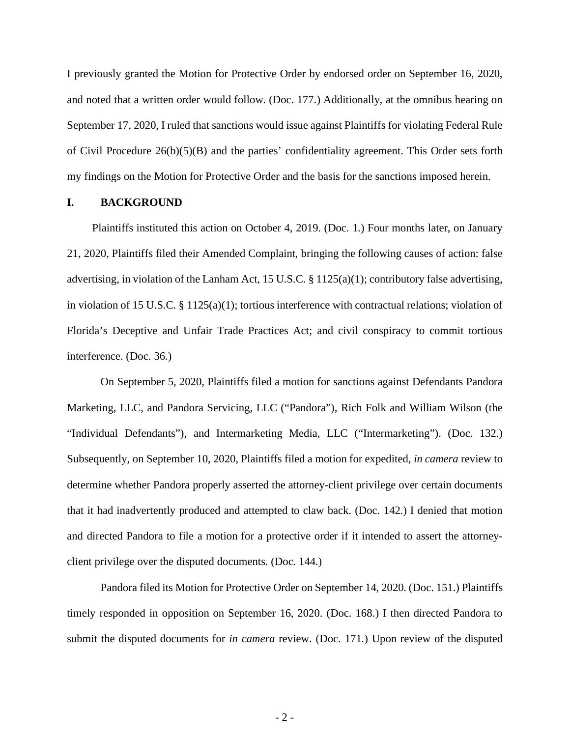I previously granted the Motion for Protective Order by endorsed order on September 16, 2020, and noted that a written order would follow. (Doc. 177.) Additionally, at the omnibus hearing on September 17, 2020, I ruled that sanctions would issue against Plaintiffs for violating Federal Rule of Civil Procedure 26(b)(5)(B) and the parties' confidentiality agreement. This Order sets forth my findings on the Motion for Protective Order and the basis for the sanctions imposed herein.

### **I. BACKGROUND**

Plaintiffs instituted this action on October 4, 2019. (Doc. 1.) Four months later, on January 21, 2020, Plaintiffs filed their Amended Complaint, bringing the following causes of action: false advertising, in violation of the Lanham Act, 15 U.S.C. § 1125(a)(1); contributory false advertising, in violation of 15 U.S.C. § 1125(a)(1); tortious interference with contractual relations; violation of Florida's Deceptive and Unfair Trade Practices Act; and civil conspiracy to commit tortious interference. (Doc. 36.)

On September 5, 2020, Plaintiffs filed a motion for sanctions against Defendants Pandora Marketing, LLC, and Pandora Servicing, LLC ("Pandora"), Rich Folk and William Wilson (the "Individual Defendants"), and Intermarketing Media, LLC ("Intermarketing"). (Doc. 132.) Subsequently, on September 10, 2020, Plaintiffs filed a motion for expedited, *in camera* review to determine whether Pandora properly asserted the attorney-client privilege over certain documents that it had inadvertently produced and attempted to claw back. (Doc. 142.) I denied that motion and directed Pandora to file a motion for a protective order if it intended to assert the attorneyclient privilege over the disputed documents. (Doc. 144.)

Pandora filed its Motion for Protective Order on September 14, 2020. (Doc. 151.) Plaintiffs timely responded in opposition on September 16, 2020. (Doc. 168.) I then directed Pandora to submit the disputed documents for *in camera* review. (Doc. 171.) Upon review of the disputed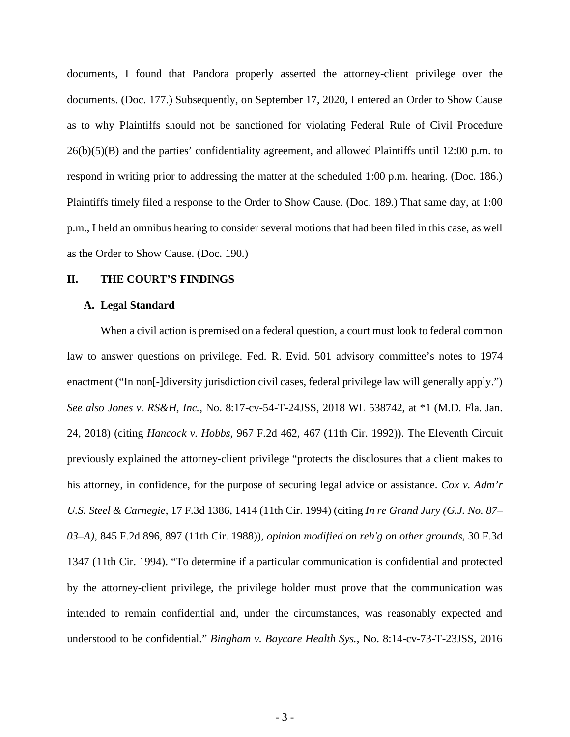documents, I found that Pandora properly asserted the attorney-client privilege over the documents. (Doc. 177.) Subsequently, on September 17, 2020, I entered an Order to Show Cause as to why Plaintiffs should not be sanctioned for violating Federal Rule of Civil Procedure 26(b)(5)(B) and the parties' confidentiality agreement, and allowed Plaintiffs until 12:00 p.m. to respond in writing prior to addressing the matter at the scheduled 1:00 p.m. hearing. (Doc. 186.) Plaintiffs timely filed a response to the Order to Show Cause. (Doc. 189.) That same day, at 1:00 p.m., I held an omnibus hearing to consider several motions that had been filed in this case, as well as the Order to Show Cause. (Doc. 190.)

### **II. THE COURT'S FINDINGS**

#### **A. Legal Standard**

When a civil action is premised on a federal question, a court must look to federal common law to answer questions on privilege. Fed. R. Evid. 501 advisory committee's notes to 1974 enactment ("In non<sup>[-</sup>]diversity jurisdiction civil cases, federal privilege law will generally apply.") *See also Jones v. RS&H, Inc.*, No. 8:17-cv-54-T-24JSS, 2018 WL 538742, at \*1 (M.D. Fla. Jan. 24, 2018) (citing *Hancock v. Hobbs*, 967 F.2d 462, 467 (11th Cir. 1992)). The Eleventh Circuit previously explained the attorney-client privilege "protects the disclosures that a client makes to his attorney, in confidence, for the purpose of securing legal advice or assistance. *Cox v. Adm'r U.S. Steel & Carnegie*, 17 F.3d 1386, 1414 (11th Cir. 1994) (citing *In re Grand Jury (G.J. No. 87– 03–A)*, 845 F.2d 896, 897 (11th Cir. 1988)), *opinion modified on reh'g on other grounds*, 30 F.3d 1347 (11th Cir. 1994). "To determine if a particular communication is confidential and protected by the attorney-client privilege, the privilege holder must prove that the communication was intended to remain confidential and, under the circumstances, was reasonably expected and understood to be confidential." *Bingham v. Baycare Health Sys.*, No. 8:14-cv-73-T-23JSS, 2016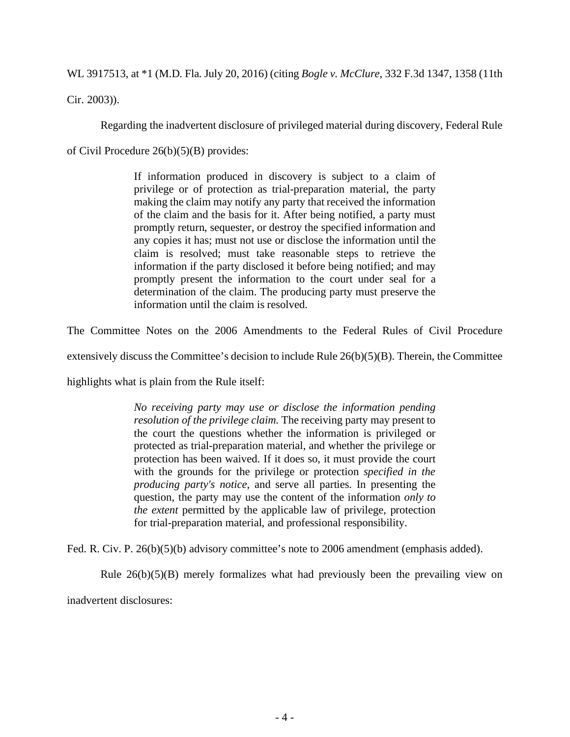WL 3917513, at \*1 (M.D. Fla. July 20, 2016) (citing *Bogle v. McClure*, 332 F.3d 1347, 1358 (11th

Cir. 2003)).

Regarding the inadvertent disclosure of privileged material during discovery, Federal Rule

of Civil Procedure 26(b)(5)(B) provides:

If information produced in discovery is subject to a claim of privilege or of protection as trial-preparation material, the party making the claim may notify any party that received the information of the claim and the basis for it. After being notified, a party must promptly return, sequester, or destroy the specified information and any copies it has; must not use or disclose the information until the claim is resolved; must take reasonable steps to retrieve the information if the party disclosed it before being notified; and may promptly present the information to the court under seal for a determination of the claim. The producing party must preserve the information until the claim is resolved.

The Committee Notes on the 2006 Amendments to the Federal Rules of Civil Procedure

extensively discuss the Committee's decision to include Rule  $26(b)(5)(B)$ . Therein, the Committee

highlights what is plain from the Rule itself:

*No receiving party may use or disclose the information pending resolution of the privilege claim.* The receiving party may present to the court the questions whether the information is privileged or protected as trial-preparation material, and whether the privilege or protection has been waived. If it does so, it must provide the court with the grounds for the privilege or protection *specified in the producing party's notice*, and serve all parties. In presenting the question, the party may use the content of the information *only to the extent* permitted by the applicable law of privilege, protection for trial-preparation material, and professional responsibility.

Fed. R. Civ. P. 26(b)(5)(b) advisory committee's note to 2006 amendment (emphasis added).

Rule  $26(b)(5)(B)$  merely formalizes what had previously been the prevailing view on inadvertent disclosures: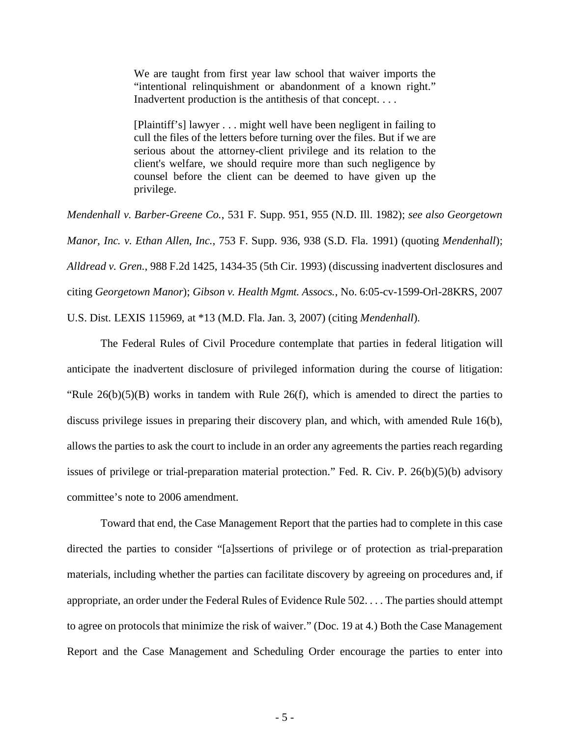We are taught from first year law school that waiver imports the "intentional relinquishment or abandonment of a known right." Inadvertent production is the antithesis of that concept. . . .

[Plaintiff's] lawyer . . . might well have been negligent in failing to cull the files of the letters before turning over the files. But if we are serious about the attorney-client privilege and its relation to the client's welfare, we should require more than such negligence by counsel before the client can be deemed to have given up the privilege.

*Mendenhall v. Barber-Greene Co.*, 531 F. Supp. 951, 955 (N.D. Ill. 1982); *see also Georgetown Manor, Inc. v. Ethan Allen, Inc.*, 753 F. Supp. 936, 938 (S.D. Fla. 1991) (quoting *Mendenhall*); *Alldread v. Gren.*, 988 F.2d 1425, 1434-35 (5th Cir. 1993) (discussing inadvertent disclosures and citing *Georgetown Manor*); *Gibson v. Health Mgmt. Assocs.*, No. 6:05-cv-1599-Orl-28KRS, 2007 U.S. Dist. LEXIS 115969, at \*13 (M.D. Fla. Jan. 3, 2007) (citing *Mendenhall*).

The Federal Rules of Civil Procedure contemplate that parties in federal litigation will anticipate the inadvertent disclosure of privileged information during the course of litigation: "Rule  $26(b)(5)(B)$  works in tandem with Rule  $26(f)$ , which is amended to direct the parties to discuss privilege issues in preparing their discovery plan, and which, with amended Rule 16(b), allows the parties to ask the court to include in an order any agreements the parties reach regarding issues of privilege or trial-preparation material protection." Fed. R. Civ. P. 26(b)(5)(b) advisory committee's note to 2006 amendment.

Toward that end, the Case Management Report that the parties had to complete in this case directed the parties to consider "[a]ssertions of privilege or of protection as trial-preparation materials, including whether the parties can facilitate discovery by agreeing on procedures and, if appropriate, an order under the Federal Rules of Evidence Rule 502. . . . The parties should attempt to agree on protocols that minimize the risk of waiver." (Doc. 19 at 4.) Both the Case Management Report and the Case Management and Scheduling Order encourage the parties to enter into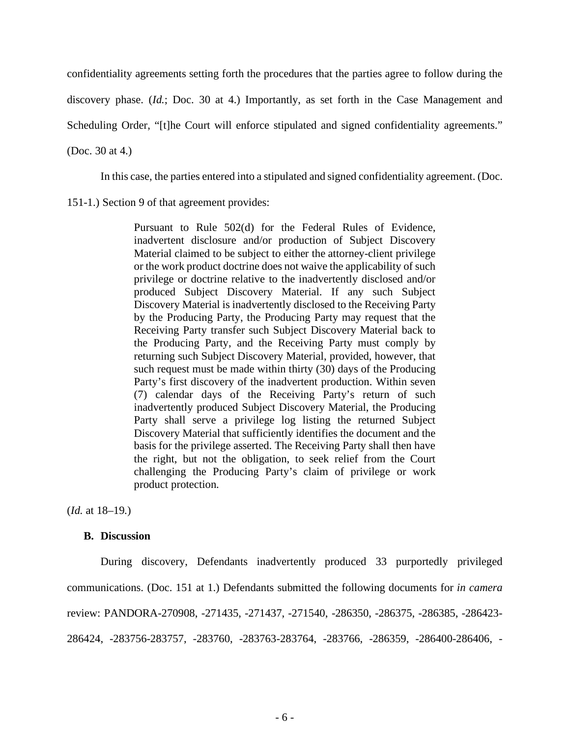confidentiality agreements setting forth the procedures that the parties agree to follow during the

discovery phase. (*Id.*; Doc. 30 at 4.) Importantly, as set forth in the Case Management and

Scheduling Order, "[t]he Court will enforce stipulated and signed confidentiality agreements."

(Doc. 30 at 4.)

In this case, the parties entered into a stipulated and signed confidentiality agreement. (Doc.

151-1.) Section 9 of that agreement provides:

Pursuant to Rule 502(d) for the Federal Rules of Evidence, inadvertent disclosure and/or production of Subject Discovery Material claimed to be subject to either the attorney-client privilege or the work product doctrine does not waive the applicability of such privilege or doctrine relative to the inadvertently disclosed and/or produced Subject Discovery Material. If any such Subject Discovery Material is inadvertently disclosed to the Receiving Party by the Producing Party, the Producing Party may request that the Receiving Party transfer such Subject Discovery Material back to the Producing Party, and the Receiving Party must comply by returning such Subject Discovery Material, provided, however, that such request must be made within thirty (30) days of the Producing Party's first discovery of the inadvertent production. Within seven (7) calendar days of the Receiving Party's return of such inadvertently produced Subject Discovery Material, the Producing Party shall serve a privilege log listing the returned Subject Discovery Material that sufficiently identifies the document and the basis for the privilege asserted. The Receiving Party shall then have the right, but not the obligation, to seek relief from the Court challenging the Producing Party's claim of privilege or work product protection.

(*Id.* at 18–19.)

### **B. Discussion**

During discovery, Defendants inadvertently produced 33 purportedly privileged communications. (Doc. 151 at 1.) Defendants submitted the following documents for *in camera* review: PANDORA-270908, -271435, -271437, -271540, -286350, -286375, -286385, -286423- 286424, -283756-283757, -283760, -283763-283764, -283766, -286359, -286400-286406, -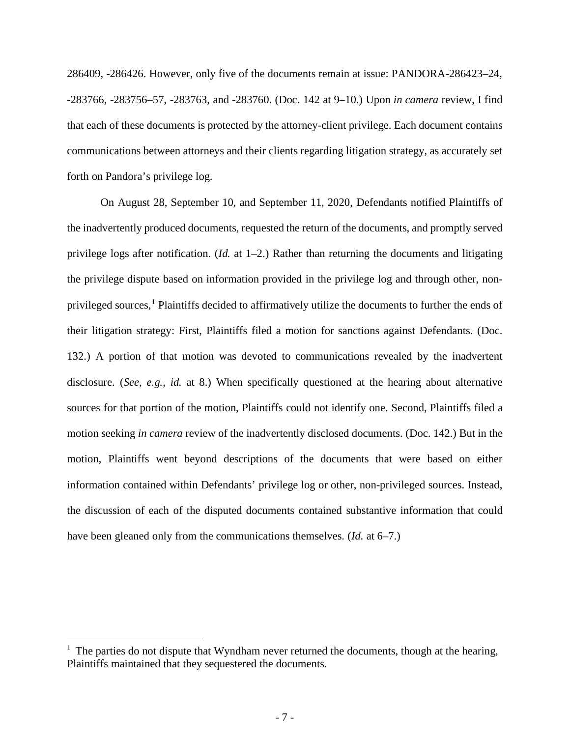286409, -286426. However, only five of the documents remain at issue: PANDORA-286423–24, -283766, -283756–57, -283763, and -283760. (Doc. 142 at 9–10.) Upon *in camera* review, I find that each of these documents is protected by the attorney-client privilege. Each document contains communications between attorneys and their clients regarding litigation strategy, as accurately set forth on Pandora's privilege log.

On August 28, September 10, and September 11, 2020, Defendants notified Plaintiffs of the inadvertently produced documents, requested the return of the documents, and promptly served privilege logs after notification. (*Id.* at 1–2.) Rather than returning the documents and litigating the privilege dispute based on information provided in the privilege log and through other, non-privileged sources,<sup>[1](#page-6-0)</sup> Plaintiffs decided to affirmatively utilize the documents to further the ends of their litigation strategy: First, Plaintiffs filed a motion for sanctions against Defendants. (Doc. 132.) A portion of that motion was devoted to communications revealed by the inadvertent disclosure. (*See, e.g.*, *id.* at 8.) When specifically questioned at the hearing about alternative sources for that portion of the motion, Plaintiffs could not identify one. Second, Plaintiffs filed a motion seeking *in camera* review of the inadvertently disclosed documents. (Doc. 142.) But in the motion, Plaintiffs went beyond descriptions of the documents that were based on either information contained within Defendants' privilege log or other, non-privileged sources. Instead, the discussion of each of the disputed documents contained substantive information that could have been gleaned only from the communications themselves. (*Id.* at 6–7.)

<span id="page-6-0"></span> $<sup>1</sup>$  The parties do not dispute that Wyndham never returned the documents, though at the hearing,</sup> Plaintiffs maintained that they sequestered the documents.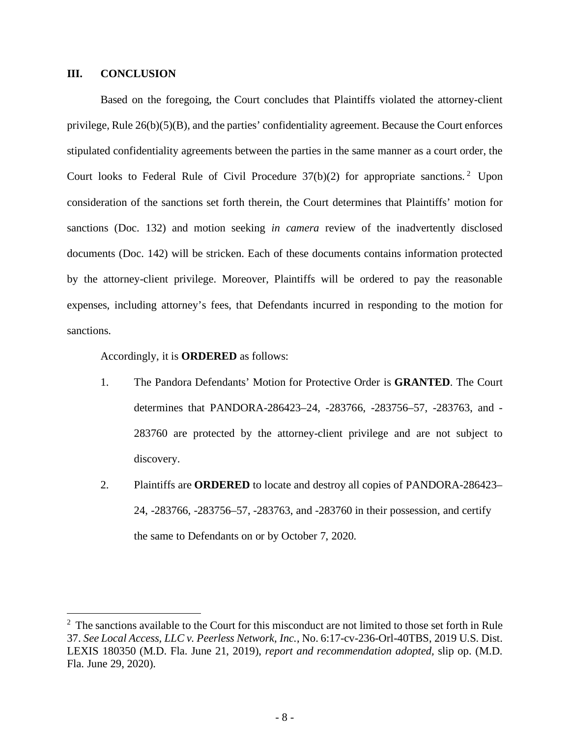## **III. CONCLUSION**

Based on the foregoing, the Court concludes that Plaintiffs violated the attorney-client privilege, Rule 26(b)(5)(B), and the parties' confidentiality agreement. Because the Court enforces stipulated confidentiality agreements between the parties in the same manner as a court order, the Court looks to Federal Rule of Civil Procedure  $37(b)(2)$  $37(b)(2)$  $37(b)(2)$  for appropriate sanctions.<sup>2</sup> Upon consideration of the sanctions set forth therein, the Court determines that Plaintiffs' motion for sanctions (Doc. 132) and motion seeking *in camera* review of the inadvertently disclosed documents (Doc. 142) will be stricken. Each of these documents contains information protected by the attorney-client privilege. Moreover, Plaintiffs will be ordered to pay the reasonable expenses, including attorney's fees, that Defendants incurred in responding to the motion for sanctions.

Accordingly, it is **ORDERED** as follows:

- 1. The Pandora Defendants' Motion for Protective Order is **GRANTED**. The Court determines that PANDORA-286423–24, -283766, -283756–57, -283763, and - 283760 are protected by the attorney-client privilege and are not subject to discovery.
- 2. Plaintiffs are **ORDERED** to locate and destroy all copies of PANDORA-286423– 24, -283766, -283756–57, -283763, and -283760 in their possession, and certify the same to Defendants on or by October 7, 2020.

<span id="page-7-0"></span><sup>&</sup>lt;sup>2</sup> The sanctions available to the Court for this misconduct are not limited to those set forth in Rule 37. *See Local Access, LLC v. Peerless Network, Inc.*, No. 6:17-cv-236-Orl-40TBS, 2019 U.S. Dist. LEXIS 180350 (M.D. Fla. June 21, 2019), *report and recommendation adopted,* slip op. (M.D. Fla. June 29, 2020).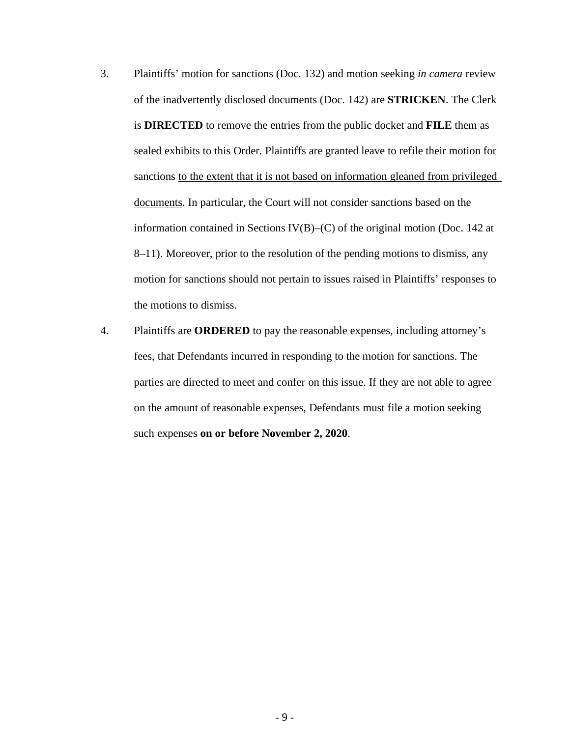- 3. Plaintiffs' motion for sanctions (Doc. 132) and motion seeking *in camera* review of the inadvertently disclosed documents (Doc. 142) are **STRICKEN**. The Clerk is **DIRECTED** to remove the entries from the public docket and **FILE** them as sealed exhibits to this Order. Plaintiffs are granted leave to refile their motion for sanctions to the extent that it is not based on information gleaned from privileged documents. In particular, the Court will not consider sanctions based on the information contained in Sections IV(B)–(C) of the original motion (Doc. 142 at 8–11). Moreover, prior to the resolution of the pending motions to dismiss, any motion for sanctions should not pertain to issues raised in Plaintiffs' responses to the motions to dismiss.
- 4. Plaintiffs are **ORDERED** to pay the reasonable expenses, including attorney's fees, that Defendants incurred in responding to the motion for sanctions. The parties are directed to meet and confer on this issue. If they are not able to agree on the amount of reasonable expenses, Defendants must file a motion seeking such expenses **on or before November 2, 2020**.